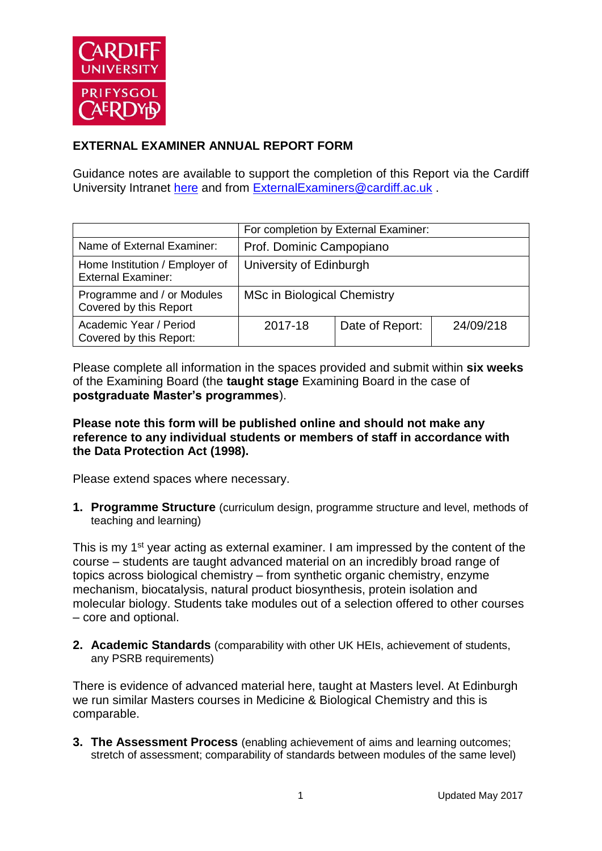

## **EXTERNAL EXAMINER ANNUAL REPORT FORM**

Guidance notes are available to support the completion of this Report via the Cardiff University Intranet [here](https://intranet.cardiff.ac.uk/staff/teaching-and-supporting-students/exams-and-assessment/exam-boards-and-external-examiners/for-current-external-examiners/external-examiners-reports) and from [ExternalExaminers@cardiff.ac.uk](mailto:ExternalExaminers@cardiff.ac.uk) .

|                                                             | For completion by External Examiner: |                 |           |  |
|-------------------------------------------------------------|--------------------------------------|-----------------|-----------|--|
| Name of External Examiner:                                  | Prof. Dominic Campopiano             |                 |           |  |
| Home Institution / Employer of<br><b>External Examiner:</b> | University of Edinburgh              |                 |           |  |
| Programme and / or Modules<br>Covered by this Report        | MSc in Biological Chemistry          |                 |           |  |
| Academic Year / Period<br>Covered by this Report:           | 2017-18                              | Date of Report: | 24/09/218 |  |

Please complete all information in the spaces provided and submit within **six weeks** of the Examining Board (the **taught stage** Examining Board in the case of **postgraduate Master's programmes**).

## **Please note this form will be published online and should not make any reference to any individual students or members of staff in accordance with the Data Protection Act (1998).**

Please extend spaces where necessary.

**1. Programme Structure** (curriculum design, programme structure and level, methods of teaching and learning)

This is my 1<sup>st</sup> year acting as external examiner. I am impressed by the content of the course – students are taught advanced material on an incredibly broad range of topics across biological chemistry – from synthetic organic chemistry, enzyme mechanism, biocatalysis, natural product biosynthesis, protein isolation and molecular biology. Students take modules out of a selection offered to other courses – core and optional.

**2. Academic Standards** (comparability with other UK HEIs, achievement of students, any PSRB requirements)

There is evidence of advanced material here, taught at Masters level. At Edinburgh we run similar Masters courses in Medicine & Biological Chemistry and this is comparable.

**3. The Assessment Process** (enabling achievement of aims and learning outcomes; stretch of assessment; comparability of standards between modules of the same level)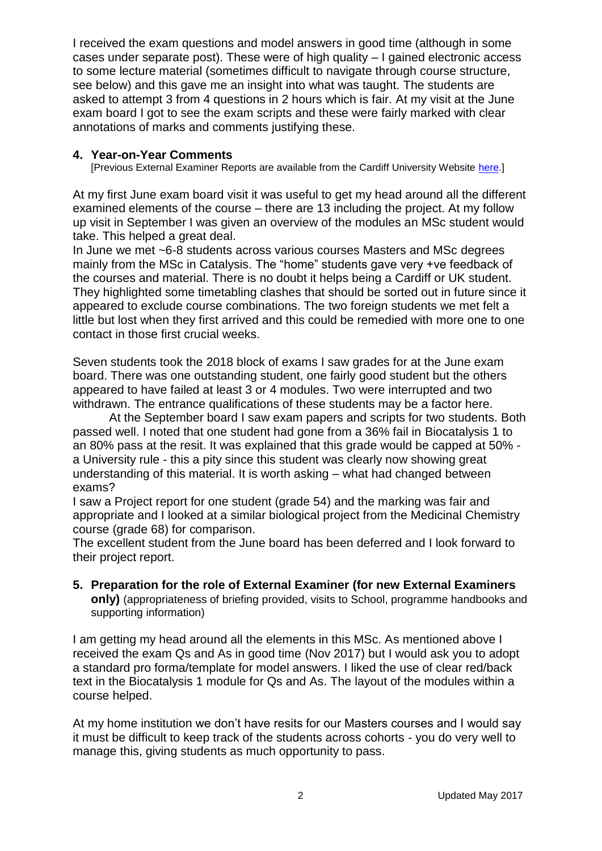I received the exam questions and model answers in good time (although in some cases under separate post). These were of high quality – I gained electronic access to some lecture material (sometimes difficult to navigate through course structure, see below) and this gave me an insight into what was taught. The students are asked to attempt 3 from 4 questions in 2 hours which is fair. At my visit at the June exam board I got to see the exam scripts and these were fairly marked with clear annotations of marks and comments justifying these.

## **4. Year-on-Year Comments**

[Previous External Examiner Reports are available from the Cardiff University Website [here.](https://www.cardiff.ac.uk/public-information/quality-and-standards/external-examiner-reports)]

At my first June exam board visit it was useful to get my head around all the different examined elements of the course – there are 13 including the project. At my follow up visit in September I was given an overview of the modules an MSc student would take. This helped a great deal.

In June we met ~6-8 students across various courses Masters and MSc degrees mainly from the MSc in Catalysis. The "home" students gave very +ve feedback of the courses and material. There is no doubt it helps being a Cardiff or UK student. They highlighted some timetabling clashes that should be sorted out in future since it appeared to exclude course combinations. The two foreign students we met felt a little but lost when they first arrived and this could be remedied with more one to one contact in those first crucial weeks.

Seven students took the 2018 block of exams I saw grades for at the June exam board. There was one outstanding student, one fairly good student but the others appeared to have failed at least 3 or 4 modules. Two were interrupted and two withdrawn. The entrance qualifications of these students may be a factor here.

At the September board I saw exam papers and scripts for two students. Both passed well. I noted that one student had gone from a 36% fail in Biocatalysis 1 to an 80% pass at the resit. It was explained that this grade would be capped at 50% a University rule - this a pity since this student was clearly now showing great understanding of this material. It is worth asking – what had changed between exams?

I saw a Project report for one student (grade 54) and the marking was fair and appropriate and I looked at a similar biological project from the Medicinal Chemistry course (grade 68) for comparison.

The excellent student from the June board has been deferred and I look forward to their project report.

**5. Preparation for the role of External Examiner (for new External Examiners only)** (appropriateness of briefing provided, visits to School, programme handbooks and supporting information)

I am getting my head around all the elements in this MSc. As mentioned above I received the exam Qs and As in good time (Nov 2017) but I would ask you to adopt a standard pro forma/template for model answers. I liked the use of clear red/back text in the Biocatalysis 1 module for Qs and As. The layout of the modules within a course helped.

At my home institution we don't have resits for our Masters courses and I would say it must be difficult to keep track of the students across cohorts - you do very well to manage this, giving students as much opportunity to pass.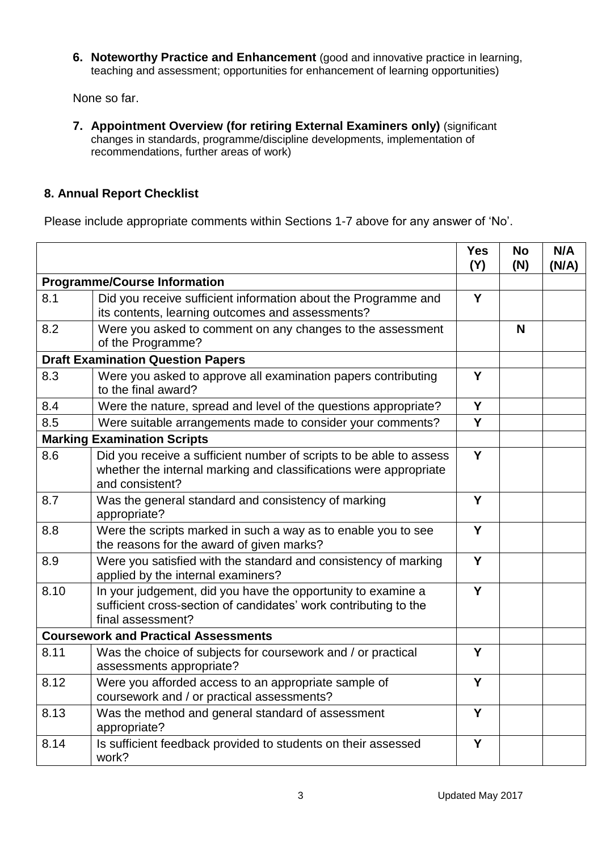**6. Noteworthy Practice and Enhancement** (good and innovative practice in learning, teaching and assessment; opportunities for enhancement of learning opportunities)

None so far.

**7. Appointment Overview (for retiring External Examiners only)** (significant changes in standards, programme/discipline developments, implementation of recommendations, further areas of work)

## **8. Annual Report Checklist**

Please include appropriate comments within Sections 1-7 above for any answer of 'No'.

|                                          |                                                                                                                                                             | <b>Yes</b><br>(Y) | <b>No</b><br>(N) | N/A<br>(N/A) |
|------------------------------------------|-------------------------------------------------------------------------------------------------------------------------------------------------------------|-------------------|------------------|--------------|
| <b>Programme/Course Information</b>      |                                                                                                                                                             |                   |                  |              |
| 8.1                                      | Did you receive sufficient information about the Programme and<br>its contents, learning outcomes and assessments?                                          | Y                 |                  |              |
| 8.2                                      | Were you asked to comment on any changes to the assessment<br>of the Programme?                                                                             |                   | N                |              |
| <b>Draft Examination Question Papers</b> |                                                                                                                                                             |                   |                  |              |
| 8.3                                      | Were you asked to approve all examination papers contributing<br>to the final award?                                                                        | Y                 |                  |              |
| 8.4                                      | Were the nature, spread and level of the questions appropriate?                                                                                             | Y                 |                  |              |
| 8.5                                      | Were suitable arrangements made to consider your comments?                                                                                                  | Y                 |                  |              |
| <b>Marking Examination Scripts</b>       |                                                                                                                                                             |                   |                  |              |
| 8.6                                      | Did you receive a sufficient number of scripts to be able to assess<br>whether the internal marking and classifications were appropriate<br>and consistent? | Y                 |                  |              |
| 8.7                                      | Was the general standard and consistency of marking<br>appropriate?                                                                                         | Y                 |                  |              |
| 8.8                                      | Were the scripts marked in such a way as to enable you to see<br>the reasons for the award of given marks?                                                  | Y                 |                  |              |
| 8.9                                      | Were you satisfied with the standard and consistency of marking<br>applied by the internal examiners?                                                       | Y                 |                  |              |
| 8.10                                     | In your judgement, did you have the opportunity to examine a<br>sufficient cross-section of candidates' work contributing to the<br>final assessment?       | Y                 |                  |              |
|                                          | <b>Coursework and Practical Assessments</b>                                                                                                                 |                   |                  |              |
| 8.11                                     | Was the choice of subjects for coursework and / or practical<br>assessments appropriate?                                                                    | Y                 |                  |              |
| 8.12                                     | Were you afforded access to an appropriate sample of<br>coursework and / or practical assessments?                                                          | Y                 |                  |              |
| 8.13                                     | Was the method and general standard of assessment<br>appropriate?                                                                                           | Y                 |                  |              |
| 8.14                                     | Is sufficient feedback provided to students on their assessed<br>work?                                                                                      | Y                 |                  |              |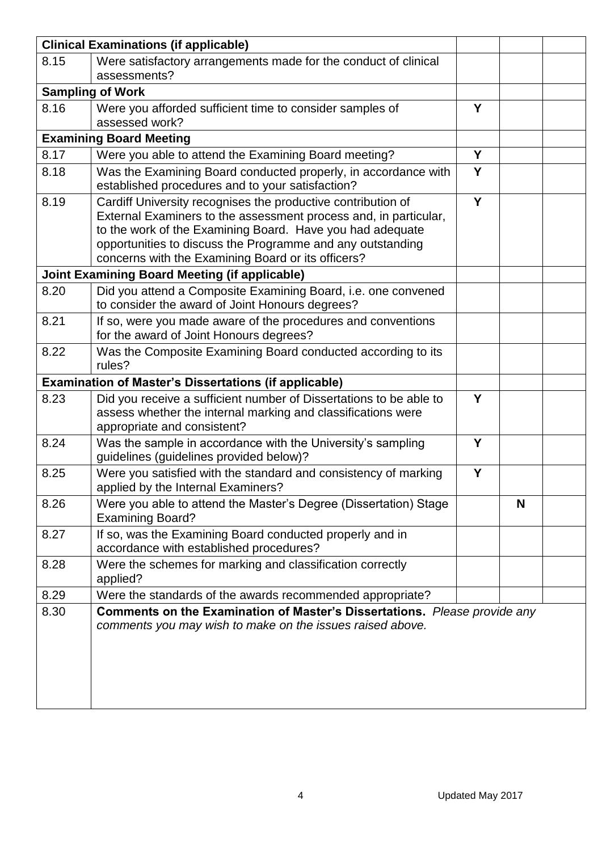|      | <b>Clinical Examinations (if applicable)</b>                                                                                                                                                                                                                                                                      |   |   |  |
|------|-------------------------------------------------------------------------------------------------------------------------------------------------------------------------------------------------------------------------------------------------------------------------------------------------------------------|---|---|--|
| 8.15 | Were satisfactory arrangements made for the conduct of clinical                                                                                                                                                                                                                                                   |   |   |  |
|      | assessments?                                                                                                                                                                                                                                                                                                      |   |   |  |
|      | <b>Sampling of Work</b>                                                                                                                                                                                                                                                                                           |   |   |  |
| 8.16 | Were you afforded sufficient time to consider samples of<br>assessed work?                                                                                                                                                                                                                                        |   |   |  |
|      | <b>Examining Board Meeting</b>                                                                                                                                                                                                                                                                                    |   |   |  |
| 8.17 | Were you able to attend the Examining Board meeting?                                                                                                                                                                                                                                                              | Y |   |  |
| 8.18 | Was the Examining Board conducted properly, in accordance with<br>established procedures and to your satisfaction?                                                                                                                                                                                                | Y |   |  |
| 8.19 | Cardiff University recognises the productive contribution of<br>External Examiners to the assessment process and, in particular,<br>to the work of the Examining Board. Have you had adequate<br>opportunities to discuss the Programme and any outstanding<br>concerns with the Examining Board or its officers? | Y |   |  |
|      | <b>Joint Examining Board Meeting (if applicable)</b>                                                                                                                                                                                                                                                              |   |   |  |
| 8.20 | Did you attend a Composite Examining Board, i.e. one convened<br>to consider the award of Joint Honours degrees?                                                                                                                                                                                                  |   |   |  |
| 8.21 | If so, were you made aware of the procedures and conventions<br>for the award of Joint Honours degrees?                                                                                                                                                                                                           |   |   |  |
| 8.22 | Was the Composite Examining Board conducted according to its<br>rules?                                                                                                                                                                                                                                            |   |   |  |
|      | <b>Examination of Master's Dissertations (if applicable)</b>                                                                                                                                                                                                                                                      |   |   |  |
| 8.23 | Did you receive a sufficient number of Dissertations to be able to<br>assess whether the internal marking and classifications were<br>appropriate and consistent?                                                                                                                                                 | Y |   |  |
| 8.24 | Was the sample in accordance with the University's sampling<br>guidelines (guidelines provided below)?                                                                                                                                                                                                            | Y |   |  |
| 8.25 | Were you satisfied with the standard and consistency of marking<br>applied by the Internal Examiners?                                                                                                                                                                                                             | Y |   |  |
| 8.26 | Were you able to attend the Master's Degree (Dissertation) Stage<br><b>Examining Board?</b>                                                                                                                                                                                                                       |   | N |  |
| 8.27 | If so, was the Examining Board conducted properly and in<br>accordance with established procedures?                                                                                                                                                                                                               |   |   |  |
| 8.28 | Were the schemes for marking and classification correctly<br>applied?                                                                                                                                                                                                                                             |   |   |  |
| 8.29 | Were the standards of the awards recommended appropriate?                                                                                                                                                                                                                                                         |   |   |  |
| 8.30 | <b>Comments on the Examination of Master's Dissertations.</b> Please provide any<br>comments you may wish to make on the issues raised above.                                                                                                                                                                     |   |   |  |